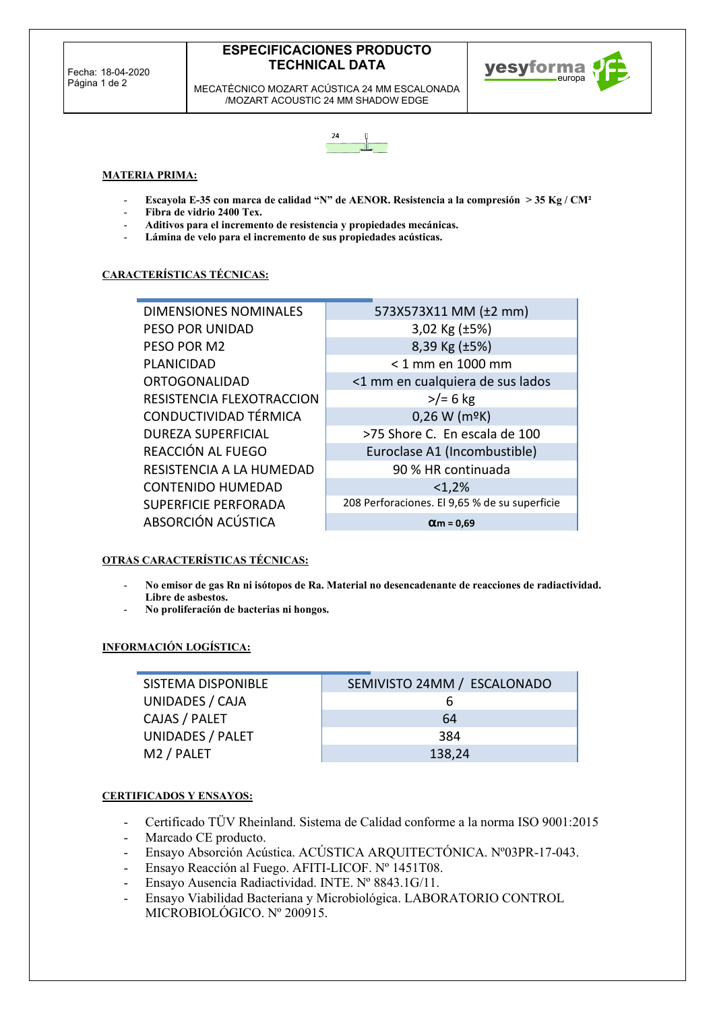# **ESPECIFICACIONES PRODUCTO TECHNICAL DATA**

yesyforma

MECATÉCNICO MOZART ACÚSTICA 24 MM ESCALONADA /MOZART ACOUSTIC 24 MM SHADOW EDGE



## **MATERIA PRIMA:**

- **Escayola E-35 con marca de calidad "N" de AENOR. Resistencia a la compresión > 35 Kg / CM²**
- **Fibra de vidrio 2400 Tex.**
- **Aditivos para el incremento de resistencia y propiedades mecánicas.**
- Lámina de velo para el incremento de sus propiedades acústicas.

## **CARACTERÍSTICAS TÉCNICAS:**

| <b>DIMENSIONES NOMINALES</b> | 573X573X11 MM (±2 mm)                         |
|------------------------------|-----------------------------------------------|
| PESO POR UNIDAD              | 3,02 Kg $(\pm 5\%)$                           |
| PESO POR M2                  | 8,39 Kg (±5%)                                 |
| <b>PLANICIDAD</b>            | < 1 mm en 1000 mm                             |
| <b>ORTOGONALIDAD</b>         | <1 mm en cualquiera de sus lados              |
| RESISTENCIA FLEXOTRACCION    | $>$ /= 6 kg                                   |
| CONDUCTIVIDAD TÉRMICA        | $0,26$ W (m <sup>o</sup> K)                   |
| <b>DUREZA SUPERFICIAL</b>    | >75 Shore C. En escala de 100                 |
| REACCIÓN AL FUEGO            | Euroclase A1 (Incombustible)                  |
| RESISTENCIA A LA HUMEDAD     | 90 % HR continuada                            |
| <b>CONTENIDO HUMEDAD</b>     | <1,2%                                         |
| <b>SUPERFICIE PERFORADA</b>  | 208 Perforaciones. El 9,65 % de su superficie |
| ABSORCIÓN ACÚSTICA           | $\alpha$ m = 0,69                             |

## **OTRAS CARACTERÍSTICAS TÉCNICAS:**

- **No emisor de gas Rn ni isótopos de Ra. Material no desencadenante de reacciones de radiactividad. Libre de asbestos.**
- **No proliferación de bacterias ni hongos.**

# **INFORMACIÓN LOGÍSTICA:**

SISTEMA DISPONIBLE SEMIVISTO 24MM / ESCALONADO UNIDADES / CAJA 6 CAJAS / PALET 64 UNIDADES / PALET 384 M2 / PALET 138,24

## **CERTIFICADOS Y ENSAYOS:**

- Certificado TÜV Rheinland. Sistema de Calidad conforme a la norma ISO 9001:2015
- Marcado CE producto.
- Ensayo Absorción Acústica. ACÚSTICA ARQUITECTÓNICA. Nº03PR-17-043.
- Ensayo Reacción al Fuego. AFITI-LICOF. Nº 1451T08.
- Ensayo Ausencia Radiactividad. INTE. Nº 8843.1G/11.
- Ensayo Viabilidad Bacteriana y Microbiológica. LABORATORIO CONTROL MICROBIOLÓGICO. Nº 200915.